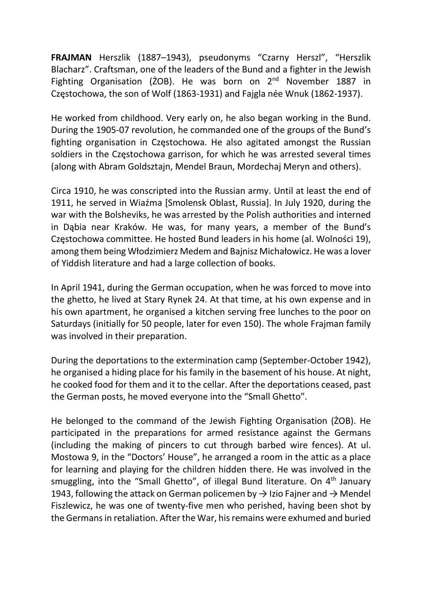FRAJMAN Herszlik (1887–1943), pseudonyms "Czarny Herszl", "Herszlik Blacharz". Craftsman, one of the leaders of the Bund and a fighter in the Jewish Fighting Organisation ( $\overline{2}$ OB). He was born on  $2<sup>nd</sup>$  November 1887 in Częstochowa, the son of Wolf (1863-1931) and Fajgla née Wnuk (1862-1937).

He worked from childhood. Very early on, he also began working in the Bund. During the 1905-07 revolution, he commanded one of the groups of the Bund's fighting organisation in Częstochowa. He also agitated amongst the Russian soldiers in the Częstochowa garrison, for which he was arrested several times (along with Abram Goldsztajn, Mendel Braun, Mordechaj Meryn and others).

Circa 1910, he was conscripted into the Russian army. Until at least the end of 1911, he served in Wiaźma [Smolensk Oblast, Russia]. In July 1920, during the war with the Bolsheviks, he was arrested by the Polish authorities and interned in Dąbia near Kraków. He was, for many years, a member of the Bund's Częstochowa committee. He hosted Bund leaders in his home (al. Wolności 19), among them being Włodzimierz Medem and Bajnisz Michałowicz. He was a lover of Yiddish literature and had a large collection of books.

In April 1941, during the German occupation, when he was forced to move into the ghetto, he lived at Stary Rynek 24. At that time, at his own expense and in his own apartment, he organised a kitchen serving free lunches to the poor on Saturdays (initially for 50 people, later for even 150). The whole Frajman family was involved in their preparation.

During the deportations to the extermination camp (September-October 1942), he organised a hiding place for his family in the basement of his house. At night, he cooked food for them and it to the cellar. After the deportations ceased, past the German posts, he moved everyone into the "Small Ghetto".

He belonged to the command of the Jewish Fighting Organisation (ŻOB). He participated in the preparations for armed resistance against the Germans (including the making of pincers to cut through barbed wire fences). At ul. Mostowa 9, in the "Doctors' House", he arranged a room in the attic as a place for learning and playing for the children hidden there. He was involved in the smuggling, into the "Small Ghetto", of illegal Bund literature. On 4<sup>th</sup> January 1943, following the attack on German policemen by  $\rightarrow$  Izio Fajner and  $\rightarrow$  Mendel Fiszlewicz, he was one of twenty-five men who perished, having been shot by the Germans in retaliation. After the War, his remains were exhumed and buried